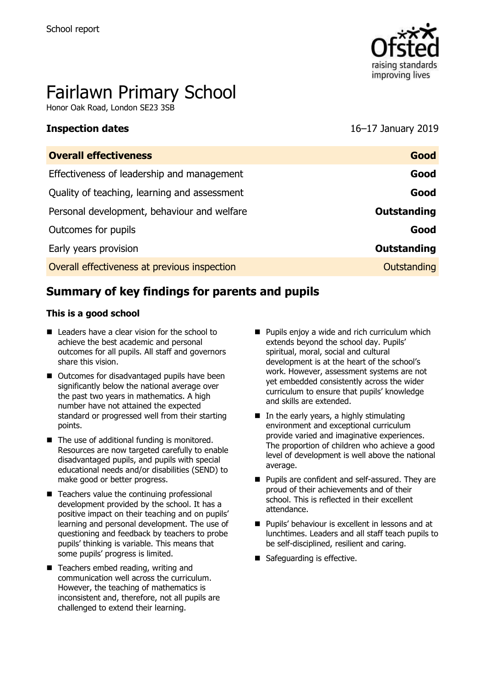

# Fairlawn Primary School

Honor Oak Road, London SE23 3SB

**Inspection dates** 16–17 January 2019

| <b>Overall effectiveness</b>                 | Good               |
|----------------------------------------------|--------------------|
| Effectiveness of leadership and management   | Good               |
| Quality of teaching, learning and assessment | Good               |
| Personal development, behaviour and welfare  | Outstanding        |
| Outcomes for pupils                          | Good               |
| Early years provision                        | <b>Outstanding</b> |
| Overall effectiveness at previous inspection | Outstanding        |
|                                              |                    |

# **Summary of key findings for parents and pupils**

#### **This is a good school**

- Leaders have a clear vision for the school to achieve the best academic and personal outcomes for all pupils. All staff and governors share this vision.
- Outcomes for disadvantaged pupils have been significantly below the national average over the past two years in mathematics. A high number have not attained the expected standard or progressed well from their starting points.
- $\blacksquare$  The use of additional funding is monitored. Resources are now targeted carefully to enable disadvantaged pupils, and pupils with special educational needs and/or disabilities (SEND) to make good or better progress.
- Teachers value the continuing professional development provided by the school. It has a positive impact on their teaching and on pupils' learning and personal development. The use of questioning and feedback by teachers to probe pupils' thinking is variable. This means that some pupils' progress is limited.
- Teachers embed reading, writing and communication well across the curriculum. However, the teaching of mathematics is inconsistent and, therefore, not all pupils are challenged to extend their learning.
- $\blacksquare$  Pupils enjoy a wide and rich curriculum which extends beyond the school day. Pupils' spiritual, moral, social and cultural development is at the heart of the school's work. However, assessment systems are not yet embedded consistently across the wider curriculum to ensure that pupils' knowledge and skills are extended.
- $\blacksquare$  In the early years, a highly stimulating environment and exceptional curriculum provide varied and imaginative experiences. The proportion of children who achieve a good level of development is well above the national average.
- **Pupils are confident and self-assured. They are** proud of their achievements and of their school. This is reflected in their excellent attendance.
- **Pupils' behaviour is excellent in lessons and at** lunchtimes. Leaders and all staff teach pupils to be self-disciplined, resilient and caring.
- Safeguarding is effective.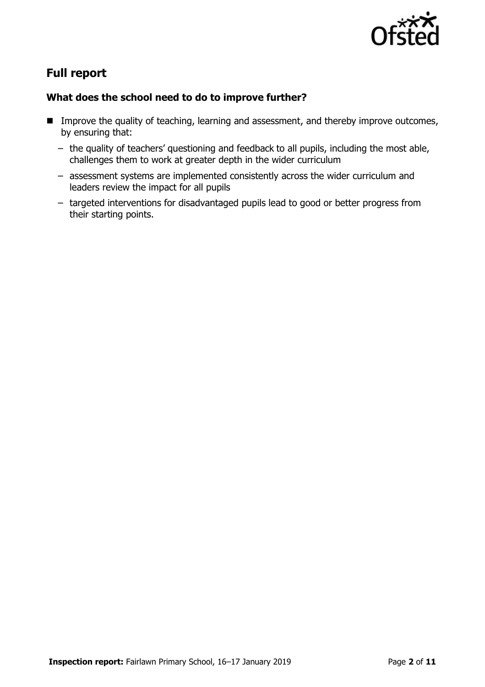

# **Full report**

### **What does the school need to do to improve further?**

- **IM** Improve the quality of teaching, learning and assessment, and thereby improve outcomes, by ensuring that:
	- the quality of teachers' questioning and feedback to all pupils, including the most able, challenges them to work at greater depth in the wider curriculum
	- assessment systems are implemented consistently across the wider curriculum and leaders review the impact for all pupils
	- targeted interventions for disadvantaged pupils lead to good or better progress from their starting points.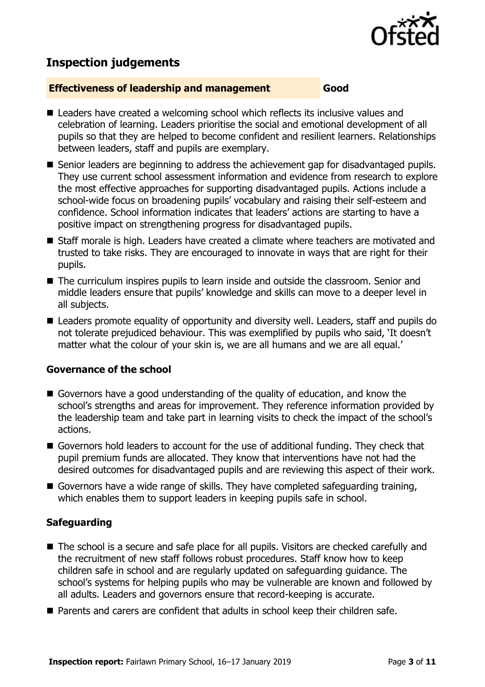

# **Inspection judgements**

#### **Effectiveness of leadership and management Good**

- Leaders have created a welcoming school which reflects its inclusive values and celebration of learning. Leaders prioritise the social and emotional development of all pupils so that they are helped to become confident and resilient learners. Relationships between leaders, staff and pupils are exemplary.
- Senior leaders are beginning to address the achievement gap for disadvantaged pupils. They use current school assessment information and evidence from research to explore the most effective approaches for supporting disadvantaged pupils. Actions include a school-wide focus on broadening pupils' vocabulary and raising their self-esteem and confidence. School information indicates that leaders' actions are starting to have a positive impact on strengthening progress for disadvantaged pupils.
- Staff morale is high. Leaders have created a climate where teachers are motivated and trusted to take risks. They are encouraged to innovate in ways that are right for their pupils.
- The curriculum inspires pupils to learn inside and outside the classroom. Senior and middle leaders ensure that pupils' knowledge and skills can move to a deeper level in all subjects.
- Leaders promote equality of opportunity and diversity well. Leaders, staff and pupils do not tolerate prejudiced behaviour. This was exemplified by pupils who said, 'It doesn't matter what the colour of your skin is, we are all humans and we are all equal.'

### **Governance of the school**

- Governors have a good understanding of the quality of education, and know the school's strengths and areas for improvement. They reference information provided by the leadership team and take part in learning visits to check the impact of the school's actions.
- Governors hold leaders to account for the use of additional funding. They check that pupil premium funds are allocated. They know that interventions have not had the desired outcomes for disadvantaged pupils and are reviewing this aspect of their work.
- Governors have a wide range of skills. They have completed safeguarding training, which enables them to support leaders in keeping pupils safe in school.

### **Safeguarding**

- The school is a secure and safe place for all pupils. Visitors are checked carefully and the recruitment of new staff follows robust procedures. Staff know how to keep children safe in school and are regularly updated on safeguarding guidance. The school's systems for helping pupils who may be vulnerable are known and followed by all adults. Leaders and governors ensure that record-keeping is accurate.
- Parents and carers are confident that adults in school keep their children safe.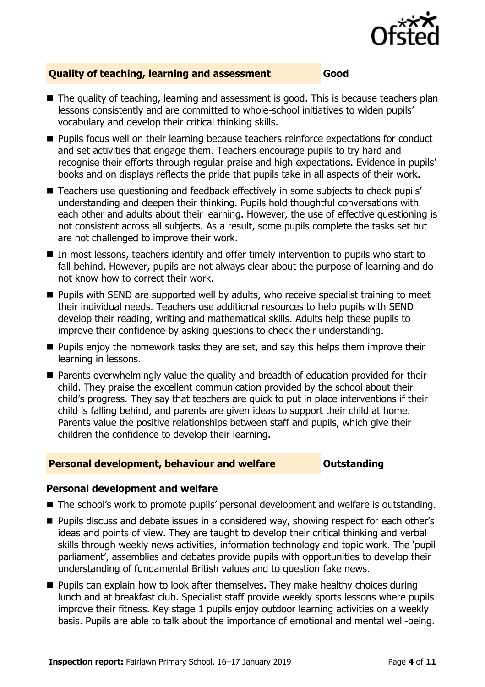

### **Quality of teaching, learning and assessment Good**

- The quality of teaching, learning and assessment is good. This is because teachers plan lessons consistently and are committed to whole-school initiatives to widen pupils' vocabulary and develop their critical thinking skills.
- **Pupils focus well on their learning because teachers reinforce expectations for conduct** and set activities that engage them. Teachers encourage pupils to try hard and recognise their efforts through regular praise and high expectations. Evidence in pupils' books and on displays reflects the pride that pupils take in all aspects of their work.
- Teachers use questioning and feedback effectively in some subjects to check pupils' understanding and deepen their thinking. Pupils hold thoughtful conversations with each other and adults about their learning. However, the use of effective questioning is not consistent across all subjects. As a result, some pupils complete the tasks set but are not challenged to improve their work.
- In most lessons, teachers identify and offer timely intervention to pupils who start to fall behind. However, pupils are not always clear about the purpose of learning and do not know how to correct their work.
- **Pupils with SEND are supported well by adults, who receive specialist training to meet** their individual needs. Teachers use additional resources to help pupils with SEND develop their reading, writing and mathematical skills. Adults help these pupils to improve their confidence by asking questions to check their understanding.
- **Pupils enjoy the homework tasks they are set, and say this helps them improve their** learning in lessons.
- **Parents overwhelmingly value the quality and breadth of education provided for their** child. They praise the excellent communication provided by the school about their child's progress. They say that teachers are quick to put in place interventions if their child is falling behind, and parents are given ideas to support their child at home. Parents value the positive relationships between staff and pupils, which give their children the confidence to develop their learning.

#### **Personal development, behaviour and welfare <b>COUTS** Outstanding

#### **Personal development and welfare**

- The school's work to promote pupils' personal development and welfare is outstanding.
- **Pupils discuss and debate issues in a considered way, showing respect for each other's** ideas and points of view. They are taught to develop their critical thinking and verbal skills through weekly news activities, information technology and topic work. The 'pupil parliament', assemblies and debates provide pupils with opportunities to develop their understanding of fundamental British values and to question fake news.
- **Pupils can explain how to look after themselves. They make healthy choices during** lunch and at breakfast club. Specialist staff provide weekly sports lessons where pupils improve their fitness. Key stage 1 pupils enjoy outdoor learning activities on a weekly basis. Pupils are able to talk about the importance of emotional and mental well-being.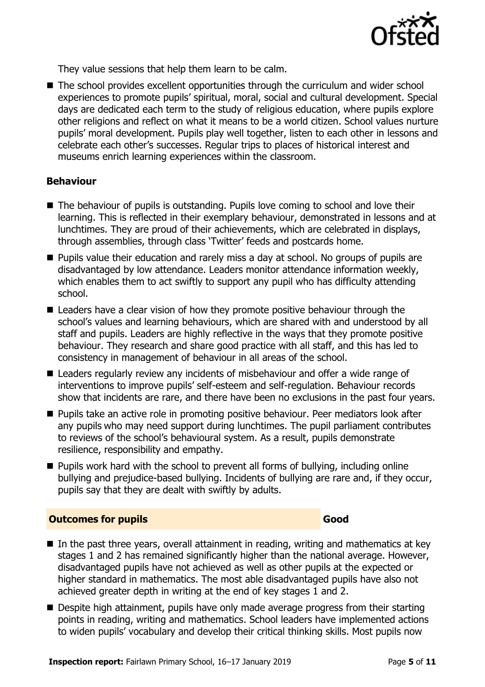

They value sessions that help them learn to be calm.

■ The school provides excellent opportunities through the curriculum and wider school experiences to promote pupils' spiritual, moral, social and cultural development. Special days are dedicated each term to the study of religious education, where pupils explore other religions and reflect on what it means to be a world citizen. School values nurture pupils' moral development. Pupils play well together, listen to each other in lessons and celebrate each other's successes. Regular trips to places of historical interest and museums enrich learning experiences within the classroom.

#### **Behaviour**

- The behaviour of pupils is outstanding. Pupils love coming to school and love their learning. This is reflected in their exemplary behaviour, demonstrated in lessons and at lunchtimes. They are proud of their achievements, which are celebrated in displays, through assemblies, through class 'Twitter' feeds and postcards home.
- **Pupils value their education and rarely miss a day at school. No groups of pupils are** disadvantaged by low attendance. Leaders monitor attendance information weekly, which enables them to act swiftly to support any pupil who has difficulty attending school.
- Leaders have a clear vision of how they promote positive behaviour through the school's values and learning behaviours, which are shared with and understood by all staff and pupils. Leaders are highly reflective in the ways that they promote positive behaviour. They research and share good practice with all staff, and this has led to consistency in management of behaviour in all areas of the school.
- Leaders regularly review any incidents of misbehaviour and offer a wide range of interventions to improve pupils' self-esteem and self-regulation. Behaviour records show that incidents are rare, and there have been no exclusions in the past four years.
- **Pupils take an active role in promoting positive behaviour. Peer mediators look after** any pupils who may need support during lunchtimes. The pupil parliament contributes to reviews of the school's behavioural system. As a result, pupils demonstrate resilience, responsibility and empathy.
- $\blacksquare$  Pupils work hard with the school to prevent all forms of bullying, including online bullying and prejudice-based bullying. Incidents of bullying are rare and, if they occur, pupils say that they are dealt with swiftly by adults.

### **Outcomes for pupils Good Good**

- $\blacksquare$  In the past three years, overall attainment in reading, writing and mathematics at key stages 1 and 2 has remained significantly higher than the national average. However, disadvantaged pupils have not achieved as well as other pupils at the expected or higher standard in mathematics. The most able disadvantaged pupils have also not achieved greater depth in writing at the end of key stages 1 and 2.
- **Despite high attainment, pupils have only made average progress from their starting** points in reading, writing and mathematics. School leaders have implemented actions to widen pupils' vocabulary and develop their critical thinking skills. Most pupils now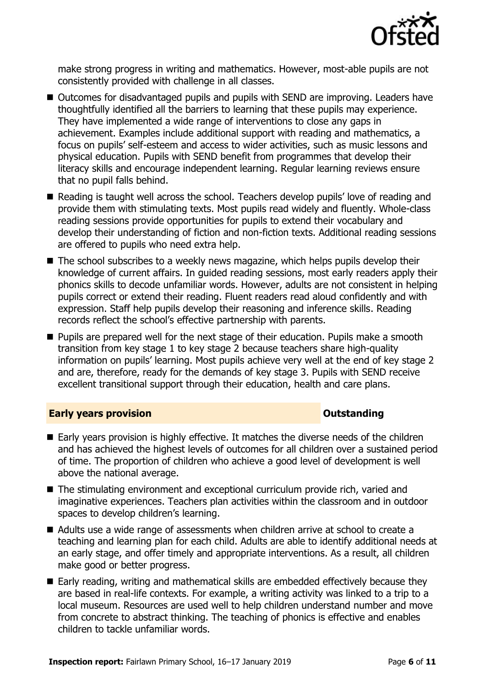

make strong progress in writing and mathematics. However, most-able pupils are not consistently provided with challenge in all classes.

- Outcomes for disadvantaged pupils and pupils with SEND are improving. Leaders have thoughtfully identified all the barriers to learning that these pupils may experience. They have implemented a wide range of interventions to close any gaps in achievement. Examples include additional support with reading and mathematics, a focus on pupils' self-esteem and access to wider activities, such as music lessons and physical education. Pupils with SEND benefit from programmes that develop their literacy skills and encourage independent learning. Regular learning reviews ensure that no pupil falls behind.
- Reading is taught well across the school. Teachers develop pupils' love of reading and provide them with stimulating texts. Most pupils read widely and fluently. Whole-class reading sessions provide opportunities for pupils to extend their vocabulary and develop their understanding of fiction and non-fiction texts. Additional reading sessions are offered to pupils who need extra help.
- The school subscribes to a weekly news magazine, which helps pupils develop their knowledge of current affairs. In guided reading sessions, most early readers apply their phonics skills to decode unfamiliar words. However, adults are not consistent in helping pupils correct or extend their reading. Fluent readers read aloud confidently and with expression. Staff help pupils develop their reasoning and inference skills. Reading records reflect the school's effective partnership with parents.
- **Pupils are prepared well for the next stage of their education. Pupils make a smooth** transition from key stage 1 to key stage 2 because teachers share high-quality information on pupils' learning. Most pupils achieve very well at the end of key stage 2 and are, therefore, ready for the demands of key stage 3. Pupils with SEND receive excellent transitional support through their education, health and care plans.

#### **Early years provision CONSTANDING TO A RESEARCH CONSTANDING TO A RESEARCH CONSTANDING TO A RESEARCH CONSTANDING TO A RESEARCH CONSTANDING TO A RESEARCH CONSTANDING TO A RESEARCH CONSTANDING TO A RESEARCH CONSTANDING TO**

- Early years provision is highly effective. It matches the diverse needs of the children and has achieved the highest levels of outcomes for all children over a sustained period of time. The proportion of children who achieve a good level of development is well above the national average.
- The stimulating environment and exceptional curriculum provide rich, varied and imaginative experiences. Teachers plan activities within the classroom and in outdoor spaces to develop children's learning.
- Adults use a wide range of assessments when children arrive at school to create a teaching and learning plan for each child. Adults are able to identify additional needs at an early stage, and offer timely and appropriate interventions. As a result, all children make good or better progress.
- Early reading, writing and mathematical skills are embedded effectively because they are based in real-life contexts. For example, a writing activity was linked to a trip to a local museum. Resources are used well to help children understand number and move from concrete to abstract thinking. The teaching of phonics is effective and enables children to tackle unfamiliar words.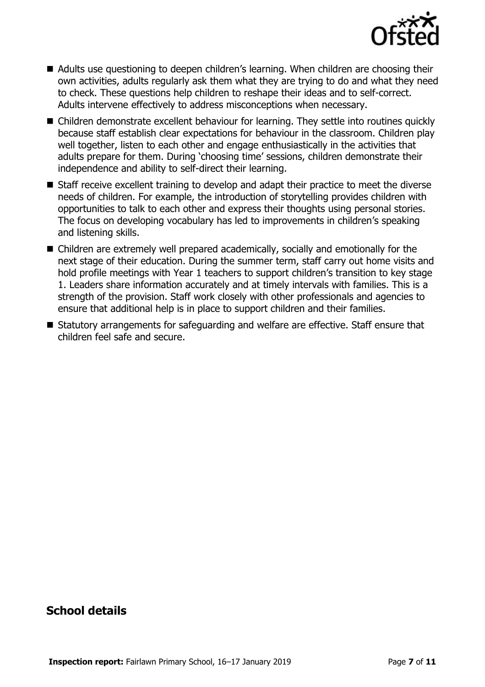

- Adults use questioning to deepen children's learning. When children are choosing their own activities, adults regularly ask them what they are trying to do and what they need to check. These questions help children to reshape their ideas and to self-correct. Adults intervene effectively to address misconceptions when necessary.
- Children demonstrate excellent behaviour for learning. They settle into routines quickly because staff establish clear expectations for behaviour in the classroom. Children play well together, listen to each other and engage enthusiastically in the activities that adults prepare for them. During 'choosing time' sessions, children demonstrate their independence and ability to self-direct their learning.
- Staff receive excellent training to develop and adapt their practice to meet the diverse needs of children. For example, the introduction of storytelling provides children with opportunities to talk to each other and express their thoughts using personal stories. The focus on developing vocabulary has led to improvements in children's speaking and listening skills.
- Children are extremely well prepared academically, socially and emotionally for the next stage of their education. During the summer term, staff carry out home visits and hold profile meetings with Year 1 teachers to support children's transition to key stage 1. Leaders share information accurately and at timely intervals with families. This is a strength of the provision. Staff work closely with other professionals and agencies to ensure that additional help is in place to support children and their families.
- Statutory arrangements for safeguarding and welfare are effective. Staff ensure that children feel safe and secure.

# **School details**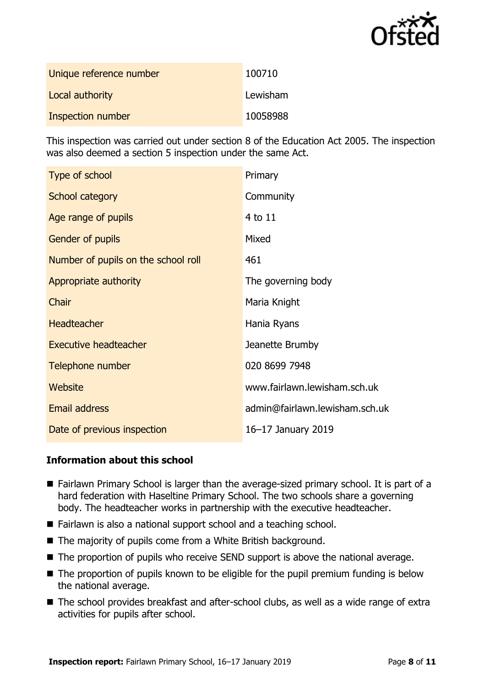

| Unique reference number | 100710   |
|-------------------------|----------|
| Local authority         | Lewisham |
| Inspection number       | 10058988 |

This inspection was carried out under section 8 of the Education Act 2005. The inspection was also deemed a section 5 inspection under the same Act.

| Type of school                      | Primary                        |
|-------------------------------------|--------------------------------|
| School category                     | Community                      |
| Age range of pupils                 | 4 to 11                        |
| Gender of pupils                    | Mixed                          |
| Number of pupils on the school roll | 461                            |
| Appropriate authority               | The governing body             |
| Chair                               | Maria Knight                   |
| <b>Headteacher</b>                  | Hania Ryans                    |
| <b>Executive headteacher</b>        | Jeanette Brumby                |
| Telephone number                    | 020 8699 7948                  |
| Website                             | www.fairlawn.lewisham.sch.uk   |
| <b>Email address</b>                | admin@fairlawn.lewisham.sch.uk |
| Date of previous inspection         | 16-17 January 2019             |

### **Information about this school**

- Fairlawn Primary School is larger than the average-sized primary school. It is part of a hard federation with Haseltine Primary School. The two schools share a governing body. The headteacher works in partnership with the executive headteacher.
- Fairlawn is also a national support school and a teaching school.
- The majority of pupils come from a White British background.
- The proportion of pupils who receive SEND support is above the national average.
- The proportion of pupils known to be eligible for the pupil premium funding is below the national average.
- The school provides breakfast and after-school clubs, as well as a wide range of extra activities for pupils after school.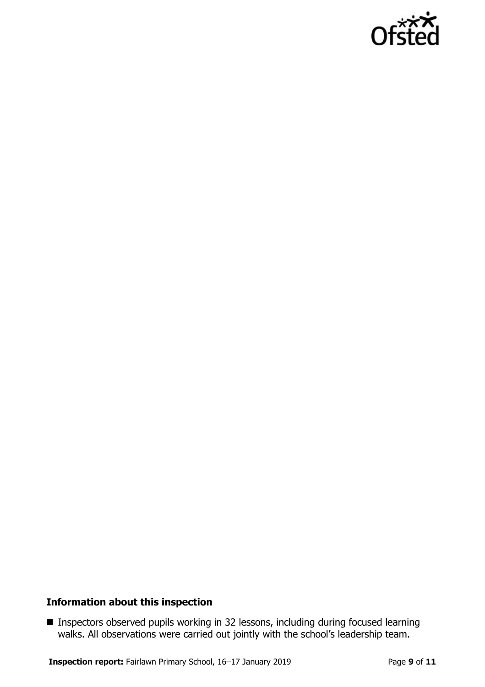

## **Information about this inspection**

■ Inspectors observed pupils working in 32 lessons, including during focused learning walks. All observations were carried out jointly with the school's leadership team.

**Inspection report:** Fairlawn Primary School, 16-17 January 2019 Page 9 of 11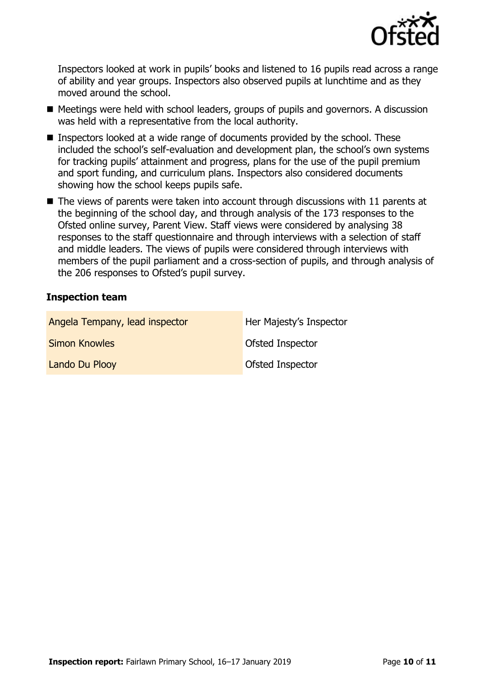

Inspectors looked at work in pupils' books and listened to 16 pupils read across a range of ability and year groups. Inspectors also observed pupils at lunchtime and as they moved around the school.

- Meetings were held with school leaders, groups of pupils and governors. A discussion was held with a representative from the local authority.
- Inspectors looked at a wide range of documents provided by the school. These included the school's self-evaluation and development plan, the school's own systems for tracking pupils' attainment and progress, plans for the use of the pupil premium and sport funding, and curriculum plans. Inspectors also considered documents showing how the school keeps pupils safe.
- $\blacksquare$  The views of parents were taken into account through discussions with 11 parents at the beginning of the school day, and through analysis of the 173 responses to the Ofsted online survey, Parent View. Staff views were considered by analysing 38 responses to the staff questionnaire and through interviews with a selection of staff and middle leaders. The views of pupils were considered through interviews with members of the pupil parliament and a cross-section of pupils, and through analysis of the 206 responses to Ofsted's pupil survey.

#### **Inspection team**

| Angela Tempany, lead inspector | Her Majesty's Inspector |
|--------------------------------|-------------------------|
| <b>Simon Knowles</b>           | Ofsted Inspector        |
| Lando Du Plooy                 | Ofsted Inspector        |